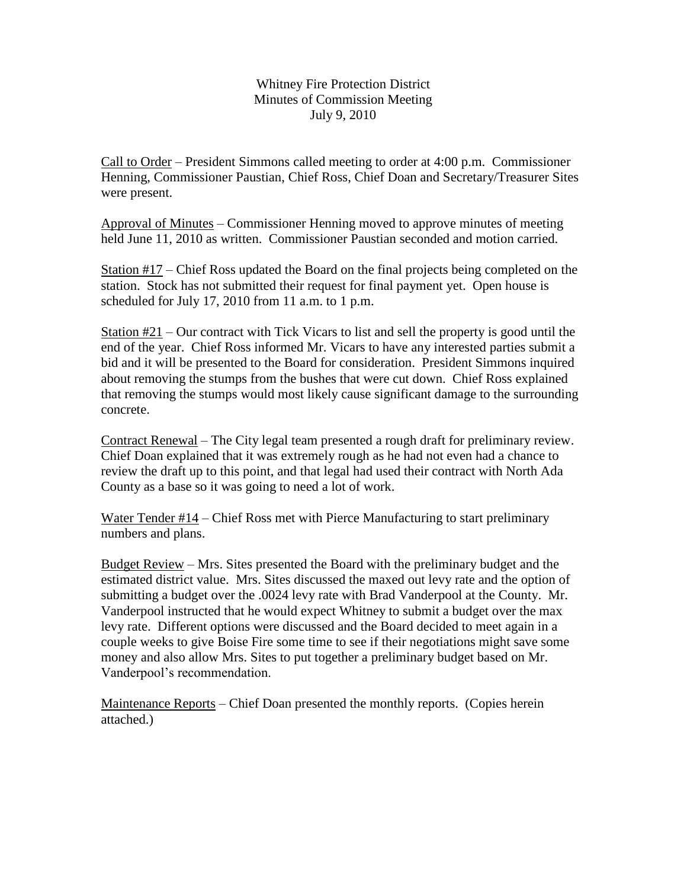Whitney Fire Protection District Minutes of Commission Meeting July 9, 2010

Call to Order – President Simmons called meeting to order at 4:00 p.m. Commissioner Henning, Commissioner Paustian, Chief Ross, Chief Doan and Secretary/Treasurer Sites were present.

Approval of Minutes – Commissioner Henning moved to approve minutes of meeting held June 11, 2010 as written. Commissioner Paustian seconded and motion carried.

Station  $\#17$  – Chief Ross updated the Board on the final projects being completed on the station. Stock has not submitted their request for final payment yet. Open house is scheduled for July 17, 2010 from 11 a.m. to 1 p.m.

Station #21 – Our contract with Tick Vicars to list and sell the property is good until the end of the year. Chief Ross informed Mr. Vicars to have any interested parties submit a bid and it will be presented to the Board for consideration. President Simmons inquired about removing the stumps from the bushes that were cut down. Chief Ross explained that removing the stumps would most likely cause significant damage to the surrounding concrete.

Contract Renewal – The City legal team presented a rough draft for preliminary review. Chief Doan explained that it was extremely rough as he had not even had a chance to review the draft up to this point, and that legal had used their contract with North Ada County as a base so it was going to need a lot of work.

Water Tender #14 – Chief Ross met with Pierce Manufacturing to start preliminary numbers and plans.

Budget Review – Mrs. Sites presented the Board with the preliminary budget and the estimated district value. Mrs. Sites discussed the maxed out levy rate and the option of submitting a budget over the .0024 levy rate with Brad Vanderpool at the County. Mr. Vanderpool instructed that he would expect Whitney to submit a budget over the max levy rate. Different options were discussed and the Board decided to meet again in a couple weeks to give Boise Fire some time to see if their negotiations might save some money and also allow Mrs. Sites to put together a preliminary budget based on Mr. Vanderpool's recommendation.

Maintenance Reports – Chief Doan presented the monthly reports. (Copies herein attached.)